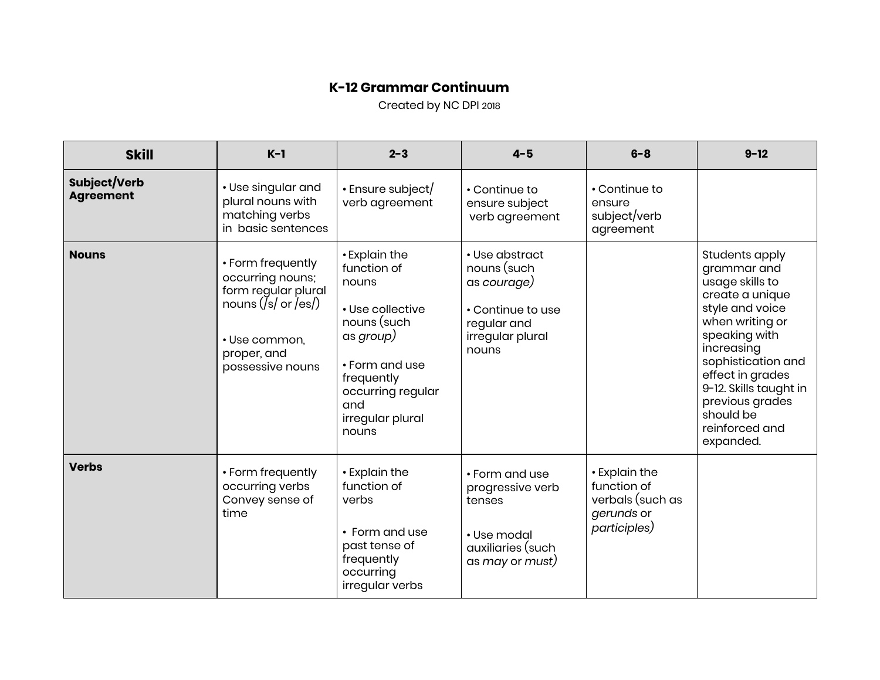## **K-12 Grammar Continuum**

Created by NC DPI 2018

| <b>Skill</b>                     | $K-1$                                                                                                                                        | $2 - 3$                                                                                                                                                                        | $4 - 5$                                                                                                       | $6 - 8$                                                                        | $9 - 12$                                                                                                                                                                                                                                                                    |
|----------------------------------|----------------------------------------------------------------------------------------------------------------------------------------------|--------------------------------------------------------------------------------------------------------------------------------------------------------------------------------|---------------------------------------------------------------------------------------------------------------|--------------------------------------------------------------------------------|-----------------------------------------------------------------------------------------------------------------------------------------------------------------------------------------------------------------------------------------------------------------------------|
| Subject/Verb<br><b>Agreement</b> | • Use singular and<br>plural nouns with<br>matching verbs<br>in basic sentences                                                              | • Ensure subject/<br>verb agreement                                                                                                                                            | • Continue to<br>ensure subject<br>verb agreement                                                             | • Continue to<br>ensure<br>subject/verb<br>agreement                           |                                                                                                                                                                                                                                                                             |
| <b>Nouns</b>                     | • Form frequently<br>occurring nouns;<br>form regular plural<br>nouns $( s )$ or $ es )$<br>· Use common,<br>proper, and<br>possessive nouns | • Explain the<br>function of<br>nouns<br>• Use collective<br>nouns (such<br>as group)<br>• Form and use<br>frequently<br>occurring regular<br>and<br>irregular plural<br>nouns | • Use abstract<br>nouns (such<br>as courage)<br>• Continue to use<br>regular and<br>irregular plural<br>nouns |                                                                                | Students apply<br>grammar and<br>usage skills to<br>create a unique<br>style and voice<br>when writing or<br>speaking with<br>increasing<br>sophistication and<br>effect in grades<br>9-12. Skills taught in<br>previous grades<br>should be<br>reinforced and<br>expanded. |
| <b>Verbs</b>                     | • Form frequently<br>occurring verbs<br>Convey sense of<br>time                                                                              | • Explain the<br>function of<br>verbs<br>• Form and use<br>past tense of<br>frequently<br>occurring<br>irregular verbs                                                         | • Form and use<br>progressive verb<br>tenses<br>• Use modal<br>auxiliaries (such<br>as may or must)           | • Explain the<br>function of<br>verbals (such as<br>gerunds or<br>participles) |                                                                                                                                                                                                                                                                             |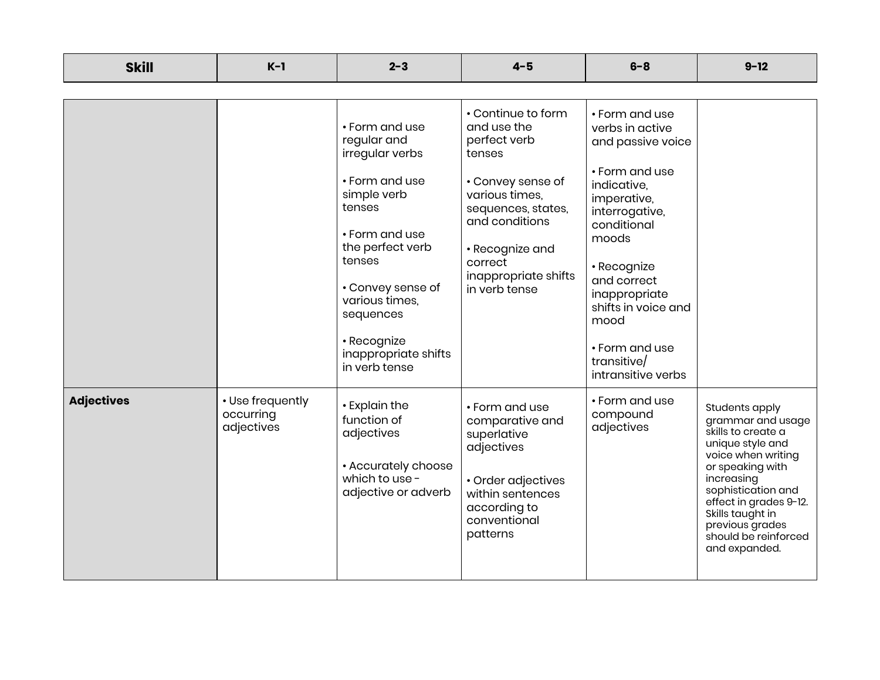| <b>Skill</b>      | $K-1$                                       | $2 - 3$                                                                                                                                                                                                                                                 | $4 - 5$                                                                                                                                                                                                           | $6 - 8$                                                                                                                                                                                                                                                                               | $9 - 12$                                                                                                                                                                                                                                                              |
|-------------------|---------------------------------------------|---------------------------------------------------------------------------------------------------------------------------------------------------------------------------------------------------------------------------------------------------------|-------------------------------------------------------------------------------------------------------------------------------------------------------------------------------------------------------------------|---------------------------------------------------------------------------------------------------------------------------------------------------------------------------------------------------------------------------------------------------------------------------------------|-----------------------------------------------------------------------------------------------------------------------------------------------------------------------------------------------------------------------------------------------------------------------|
|                   |                                             |                                                                                                                                                                                                                                                         |                                                                                                                                                                                                                   |                                                                                                                                                                                                                                                                                       |                                                                                                                                                                                                                                                                       |
|                   |                                             | • Form and use<br>regular and<br>irregular verbs<br>• Form and use<br>simple verb<br>tenses<br>• Form and use<br>the perfect verb<br>tenses<br>• Convey sense of<br>various times,<br>sequences<br>• Recognize<br>inappropriate shifts<br>in verb tense | • Continue to form<br>and use the<br>perfect verb<br>tenses<br>• Convey sense of<br>various times.<br>sequences, states,<br>and conditions<br>• Recognize and<br>correct<br>inappropriate shifts<br>in verb tense | • Form and use<br>verbs in active<br>and passive voice<br>• Form and use<br>indicative,<br>imperative,<br>interrogative,<br>conditional<br>moods<br>• Recognize<br>and correct<br>inappropriate<br>shifts in voice and<br>mood<br>• Form and use<br>transitive/<br>intransitive verbs |                                                                                                                                                                                                                                                                       |
| <b>Adjectives</b> | • Use frequently<br>occurring<br>adjectives | • Explain the<br>function of<br>adjectives<br>• Accurately choose<br>which to use -<br>adjective or adverb                                                                                                                                              | • Form and use<br>comparative and<br>superlative<br>adjectives<br>• Order adjectives<br>within sentences<br>according to<br>conventional<br>patterns                                                              | • Form and use<br>compound<br>adjectives                                                                                                                                                                                                                                              | Students apply<br>grammar and usage<br>skills to create a<br>unique style and<br>voice when writing<br>or speaking with<br>increasing<br>sophistication and<br>effect in grades 9-12.<br>Skills taught in<br>previous grades<br>should be reinforced<br>and expanded. |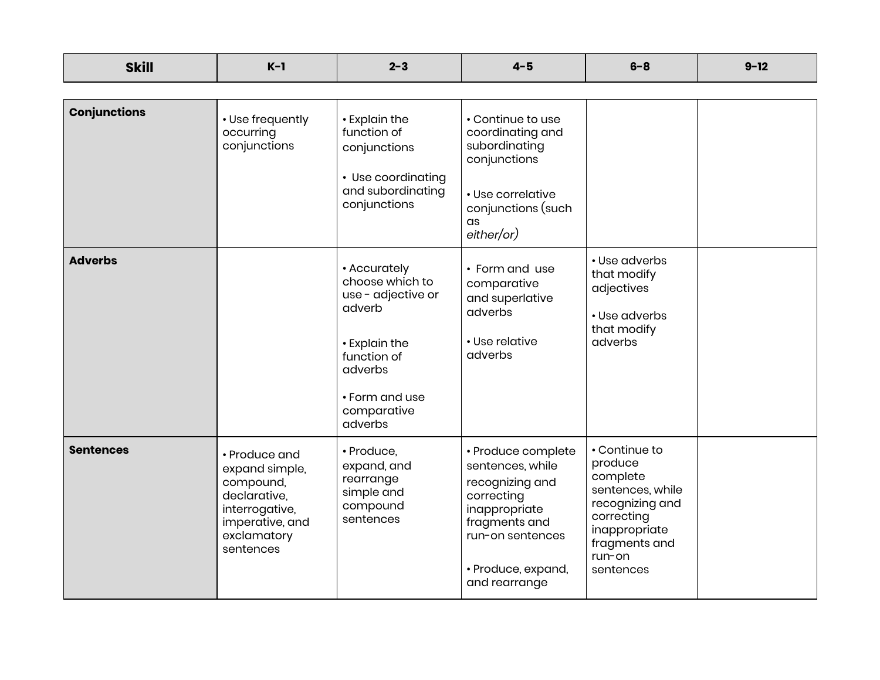| <b>Skill</b>        | $K-1$                                                                                                                         | $2 - 3$                                                                                                                                                | $4 - 5$                                                                                                                                                              | $6 - 8$                                                                                                                                            | $9 - 12$ |
|---------------------|-------------------------------------------------------------------------------------------------------------------------------|--------------------------------------------------------------------------------------------------------------------------------------------------------|----------------------------------------------------------------------------------------------------------------------------------------------------------------------|----------------------------------------------------------------------------------------------------------------------------------------------------|----------|
|                     |                                                                                                                               |                                                                                                                                                        |                                                                                                                                                                      |                                                                                                                                                    |          |
| <b>Conjunctions</b> | • Use frequently<br>occurring<br>conjunctions                                                                                 | • Explain the<br>function of<br>conjunctions<br>• Use coordinating<br>and subordinating<br>conjunctions                                                | • Continue to use<br>coordinating and<br>subordinating<br>conjunctions<br>• Use correlative<br>conjunctions (such<br>as<br>either/or)                                |                                                                                                                                                    |          |
| <b>Adverbs</b>      |                                                                                                                               | • Accurately<br>choose which to<br>use - adjective or<br>adverb<br>• Explain the<br>function of<br>adverbs<br>• Form and use<br>comparative<br>adverbs | • Form and use<br>comparative<br>and superlative<br>adverbs<br>• Use relative<br>adverbs                                                                             | • Use adverbs<br>that modify<br>adjectives<br>• Use adverbs<br>that modify<br>adverbs                                                              |          |
| <b>Sentences</b>    | • Produce and<br>expand simple,<br>compound,<br>declarative,<br>interrogative,<br>imperative, and<br>exclamatory<br>sentences | · Produce,<br>expand, and<br>rearrange<br>simple and<br>compound<br>sentences                                                                          | • Produce complete<br>sentences, while<br>recognizing and<br>correcting<br>inappropriate<br>fragments and<br>run-on sentences<br>· Produce, expand,<br>and rearrange | • Continue to<br>produce<br>complete<br>sentences, while<br>recognizing and<br>correcting<br>inappropriate<br>fragments and<br>run-on<br>sentences |          |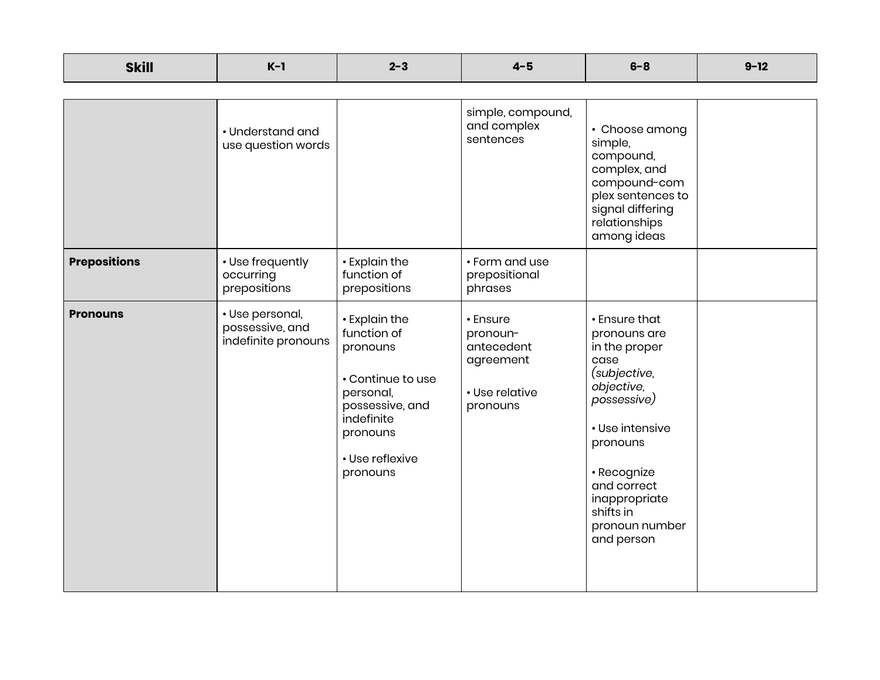| <b>Skill</b>        | $K-1$                                                     | $2 - 3$                                                                                                                                                | $4 - 5$                                                                       | $6 - 8$                                                                                                                                                                                                                        | $9 - 12$ |
|---------------------|-----------------------------------------------------------|--------------------------------------------------------------------------------------------------------------------------------------------------------|-------------------------------------------------------------------------------|--------------------------------------------------------------------------------------------------------------------------------------------------------------------------------------------------------------------------------|----------|
|                     | • Understand and<br>use question words                    |                                                                                                                                                        | simple, compound,<br>and complex<br>sentences                                 | • Choose among<br>simple,<br>compound,<br>complex, and<br>compound-com<br>plex sentences to<br>signal differing<br>relationships<br>among ideas                                                                                |          |
| <b>Prepositions</b> | • Use frequently<br>occurring<br>prepositions             | • Explain the<br>function of<br>prepositions                                                                                                           | • Form and use<br>prepositional<br>phrases                                    |                                                                                                                                                                                                                                |          |
| <b>Pronouns</b>     | · Use personal,<br>possessive, and<br>indefinite pronouns | • Explain the<br>function of<br>pronouns<br>• Continue to use<br>personal,<br>possessive, and<br>indefinite<br>pronouns<br>• Use reflexive<br>pronouns | • Ensure<br>pronoun-<br>antecedent<br>agreement<br>• Use relative<br>pronouns | • Ensure that<br>pronouns are<br>in the proper<br>case<br>(subjective,<br>objective,<br>possessive)<br>• Use intensive<br>pronouns<br>· Recognize<br>and correct<br>inappropriate<br>shifts in<br>pronoun number<br>and person |          |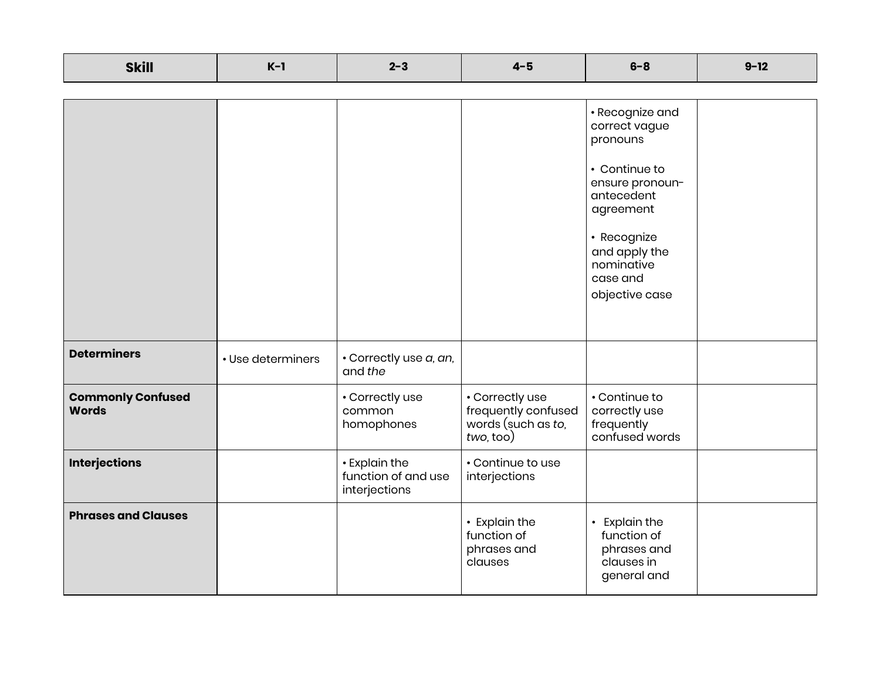| <b>Skill</b>                             | $K-1$             | $2 - 3$                                               | $4 - 5$                                                                   | $6 - 8$                                                                                                                                                                                 | $9 - 12$ |
|------------------------------------------|-------------------|-------------------------------------------------------|---------------------------------------------------------------------------|-----------------------------------------------------------------------------------------------------------------------------------------------------------------------------------------|----------|
|                                          |                   |                                                       |                                                                           |                                                                                                                                                                                         |          |
|                                          |                   |                                                       |                                                                           | · Recognize and<br>correct vague<br>pronouns<br>• Continue to<br>ensure pronoun-<br>antecedent<br>agreement<br>• Recognize<br>and apply the<br>nominative<br>case and<br>objective case |          |
| <b>Determiners</b>                       | • Use determiners | · Correctly use a, an,<br>and the                     |                                                                           |                                                                                                                                                                                         |          |
| <b>Commonly Confused</b><br><b>Words</b> |                   | • Correctly use<br>common<br>homophones               | • Correctly use<br>frequently confused<br>words (such as to,<br>two, too) | • Continue to<br>correctly use<br>frequently<br>confused words                                                                                                                          |          |
| <b>Interjections</b>                     |                   | • Explain the<br>function of and use<br>interjections | • Continue to use<br>interjections                                        |                                                                                                                                                                                         |          |
| <b>Phrases and Clauses</b>               |                   |                                                       | • Explain the<br>function of<br>phrases and<br>clauses                    | • Explain the<br>function of<br>phrases and<br>clauses in<br>general and                                                                                                                |          |